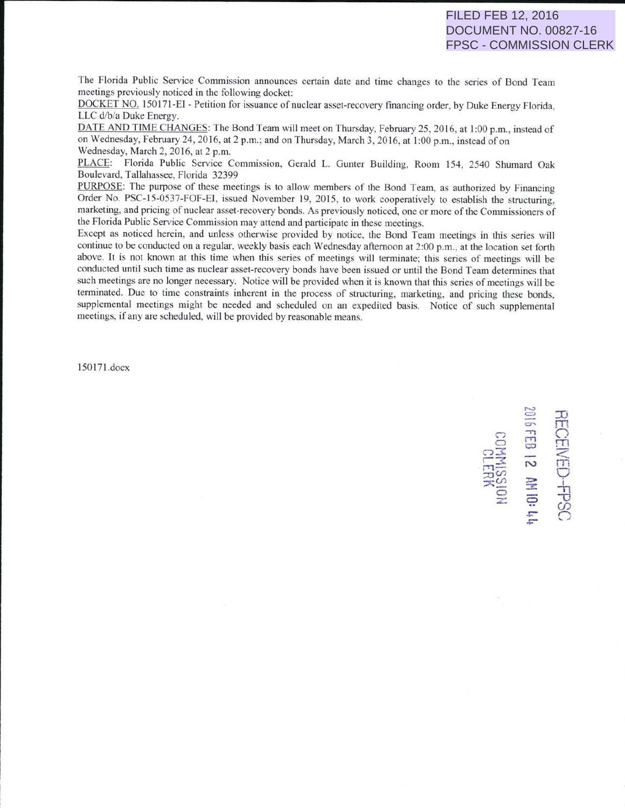The Florida Public Service Commission announces certain date and time changes to the series of Bond Team <sup>m</sup>eetings previously noticed in the following docket:

DOCKET NO. 150171-EI - Petition for issuance of nuclear asset-recovery financing order, by Duke Energy Florida, LLC d/b/a Duke Energy.

DATE AND TIME CHANGES: The Bond Team will meet on Thursday, February 25, 2016, at 1:00 p.m., instead of on Wednesday, February 24, 2016, at 2 p.m.; and on Thursday, March 3, 2016, at 1:00 p.m., instead of on Wednesday, March 2, 2016, at 2 p.m.

PLACE: Florida Public Service Commission, Gerald L. Gunter Building, Room 154, 2540 Shumard Oak Boulevard, Tallahassee, Florida 32399

PURPOSE: The purpose of these meetings is to allow members of the Bond Team, as authorized by Financing Order No. PSC-15-0537-FOF-EI, issued November 19, 2015, to work cooperatively to establish the structuring, marketing, and pricing of nuclear asset-recovery bonds. As previously noticed, one or more of the Commissioners of the Florida Public Service Commission may attend and participate in these meetings.

Except as noticed herein, and unless otherwise provided by notice, the Bond Team meetings in this series will continue to be conducted on a regular, weekly basis each Wednesday afternoon at 2:00 p.m., at the location set forth above. It is not known at this time when this series of meetings will terminate; this series of meetings will be conducted until such time as nuclear asset-recovery bonds have been issued or until the Bond Team determines that such meetings are no longer necessary. Notice will be provided when it is known that this series of meetings will be terminated. Due to time constraints inherent in the process of structuring, marketing, and pricing these bonds, supplemental meetings might be needed and scheduled on an expedited basis. Notice of such supplemental <sup>m</sup>eetings, if any are scheduled, will be provided by reasonable means.

150 17 1.docx

 $\sim$ 5 <br>元<br> ខ <u>គ</u> អ X8313<br>ISSIMN03  $\overrightarrow{n}$   $\equiv$   $\overrightarrow{n}$  $\frac{1}{2}$   $\frac{1}{2}$   $\frac{1}{2}$   $\frac{1}{2}$  $\frac{x}{2}$   $\equiv$   $\frac{1}{2}$ *(J) .r:-* (") *.r:-*